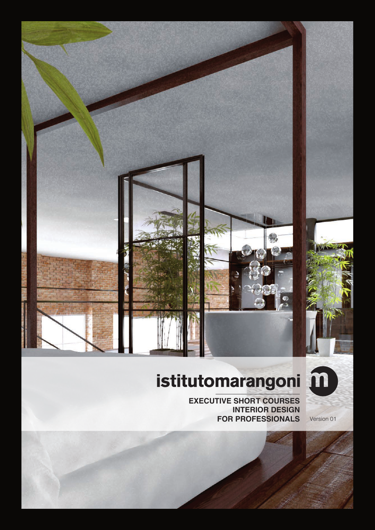



# istitutomarangoni

**EXECUTIVE SHORT COURSES INTERIOR DESIGN FOR PROFESSIONALS** Version 01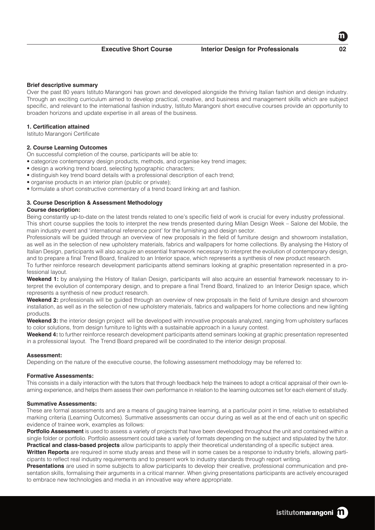Over the past 80 years Istituto Marangoni has grown and developed alongside the thriving Italian fashion and design industry. Through an exciting curriculum aimed to develop practical, creative, and business and management skills which are subject specific, and relevant to the international fashion industry, Istituto Marangoni short executive courses provide an opportunity to broaden horizons and update expertise in all areas of the business.

# **1. Certification attained**

Istituto Marangoni Certificate

# **2. Course Learning Outcomes**

On successful completion of the course, participants will be able to:

- categorize contemporary design products, methods, and organise key trend images;
- design a working trend board, selecting typographic characters;
- distinguish key trend board details with a professional description of each trend;
- organise products in an interior plan (public or private);
- formulate a short constructive commentary of a trend board linking art and fashion.

# **3. Course Description & Assessment Methodology**

# **Course description:**

Being constantly up-to-date on the latest trends related to one's specific field of work is crucial for every industry professional. This short course supplies the tools to interpret the new trends presented during Milan Design Week – Salone del Mobile, the main industry event and 'international reference point' for the furnishing and design sector.

Professionals will be guided through an overview of new proposals in the field of furniture design and showroom installation, as well as in the selection of new upholstery materials, fabrics and wallpapers for home collections. By analysing the History of Italian Design, participants will also acquire an essential framework necessary to interpret the evolution of contemporary design, and to prepare a final Trend Board, finalized to an Interior space, which represents a synthesis of new product research.

To further reinforce research development participants attend seminars looking at graphic presentation represented in a professional layout.

Weekend 1: by analysing the History of Italian Design, participants will also acquire an essential framework necessary to interpret the evolution of contemporary design, and to prepare a final Trend Board, finalized to an Interior Design space, which represents a synthesis of new product research.

**Weekend 2:** professionals will be guided through an overview of new proposals in the field of furniture design and showroom installation, as well as in the selection of new upholstery materials, fabrics and wallpapers for home collections and new lighting products.

**Weekend 3:** the interior design project will be developed with innovative proposals analyzed, ranging from upholstery surfaces to color solutions, from design furniture to lights with a sustainable approach in a luxury contest.

**Weekend 4:** to further reinforce research development participants attend seminars looking at graphic presentation represented in a professional layout. The Trend Board prepared will be coordinated to the interior design proposal.

# **Assessment:**

Depending on the nature of the executive course, the following assessment methodology may be referred to:

### **Formative Assessments:**

This consists in a daily interaction with the tutors that through feedback help the trainees to adopt a critical appraisal of their own learning experience, and helps them assess their own performance in relation to the learning outcomes set for each element of study.

#### **Summative Assessments:**

These are formal assessments and are a means of gauging trainee learning, at a particular point in time, relative to established marking criteria (Learning Outcomes). Summative assessments can occur during as well as at the end of each unit on specific evidence of trainee work, examples as follows:

**Portfolio Assessment** is used to assess a variety of projects that have been developed throughout the unit and contained within a single folder or portfolio. Portfolio assessment could take a variety of formats depending on the subject and stipulated by the tutor. **Practical and class-based projects** allow participants to apply their theoretical understanding of a specific subject area.

**Written Reports** are required in some study areas and these will in some cases be a response to industry briefs, allowing participants to reflect real industry requirements and to present work to industry standards through report writing.

**Presentations** are used in some subjects to allow participants to develop their creative, professional communication and presentation skills, formalising their arguments in a critical manner. When giving presentations participants are actively encouraged to embrace new technologies and media in an innovative way where appropriate.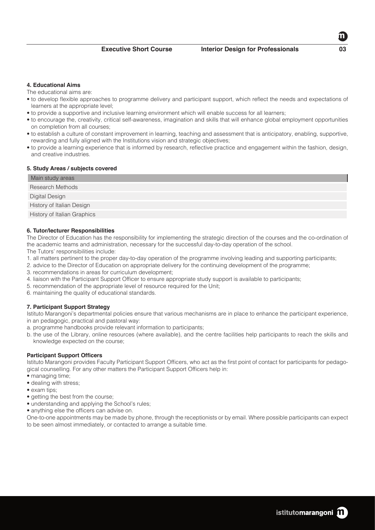The educational aims are:

- to develop flexible approaches to programme delivery and participant support, which reflect the needs and expectations of learners at the appropriate level;
- to provide a supportive and inclusive learning environment which will enable success for all learners;
- to encourage the, creativity, critical self-awareness, imagination and skills that will enhance global employment opportunities on completion from all courses;
- to establish a culture of constant improvement in learning, teaching and assessment that is anticipatory, enabling, supportive, rewarding and fully aligned with the Institutions vision and strategic objectives;
- to provide a learning experience that is informed by research, reflective practice and engagement within the fashion, design, and creative industries.

# **5. Study Areas / subjects covered**

| Main study areas            |
|-----------------------------|
| <b>Research Methods</b>     |
| Digital Design              |
| History of Italian Design   |
| History of Italian Graphics |

## **6. Tutor/lecturer Responsibilities**

The Director of Education has the responsibility for implementing the strategic direction of the courses and the co-ordination of the academic teams and administration, necessary for the successful day-to-day operation of the school.

The Tutors' responsibilities include:

- 1. all matters pertinent to the proper day-to-day operation of the programme involving leading and supporting participants;
- 2. advice to the Director of Education on appropriate delivery for the continuing development of the programme;
- 3. recommendations in areas for curriculum development;
- 4. liaison with the Participant Support Officer to ensure appropriate study support is available to participants;
- 5. recommendation of the appropriate level of resource required for the Unit;
- 6. maintaining the quality of educational standards.

# **7. Participant Support Strategy**

Istituto Marangoni's departmental policies ensure that various mechanisms are in place to enhance the participant experience, in an pedagogic, practical and pastoral way:

- a. programme handbooks provide relevant information to participants;
- b. the use of the Library, online resources (where available), and the centre facilities help participants to reach the skills and knowledge expected on the course;

# **Participant Support Officers**

Istituto Marangoni provides Faculty Participant Support Officers, who act as the first point of contact for participants for pedagogical counselling. For any other matters the Participant Support Officers help in:

- managing time;
- dealing with stress;
- exam tips:
- getting the best from the course;
- understanding and applying the School's rules;
- anything else the officers can advise on.

One-to-one appointments may be made by phone, through the receptionists or by email. Where possible participants can expect to be seen almost immediately, or contacted to arrange a suitable time.